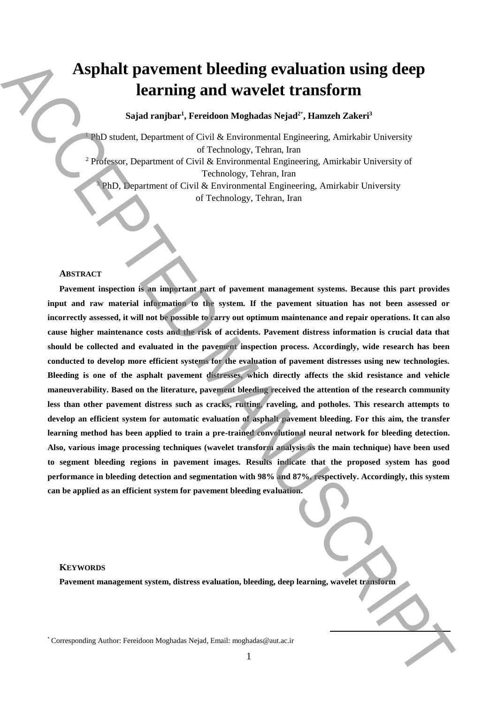# **Asphalt pavement bleeding evaluation using deep learning and wavelet transform**

## **Sajad ranjbar<sup>1</sup> , Fereidoon Moghadas Nejad<sup>2</sup>**\* **, Hamzeh Zakeri<sup>3</sup>**

<sup>1</sup> PhD student, Department of Civil & Environmental Engineering, Amirkabir University of Technology, Tehran, Iran <sup>2</sup> Professor, Department of Civil & Environmental Engineering, Amirkabir University of Technology, Tehran, Iran  $3$  PhD, Department of Civil & Environmental Engineering, Amirkabir University of Technology, Tehran, Iran

#### **ABSTRACT**

**Pavement inspection is an important part of pavement management systems. Because this part provides input and raw material information to the system. If the pavement situation has not been assessed or incorrectly assessed, it will not be possible to carry out optimum maintenance and repair operations. It can also cause higher maintenance costs and the risk of accidents. Pavement distress information is crucial data that should be collected and evaluated in the pavement inspection process. Accordingly, wide research has been conducted to develop more efficient systems for the evaluation of pavement distresses using new technologies. Bleeding is one of the asphalt pavement distresses, which directly affects the skid resistance and vehicle maneuverability. Based on the literature, pavement bleeding received the attention of the research community less than other pavement distress such as cracks, rutting, raveling, and potholes. This research attempts to develop an efficient system for automatic evaluation of asphalt pavement bleeding. For this aim, the transfer learning method has been applied to train a pre-trained convolutional neural network for bleeding detection. Also, various image processing techniques (wavelet transform analysis as the main technique) have been used to segment bleeding regions in pavement images. Results indicate that the proposed system has good performance in bleeding detection and segmentation with 98% and 87%, respectively. Accordingly, this system can be applied as an efficient system for pavement bleeding evaluation.** Asphalt paventurent bleeding evaluation using deep<br>
learning and wavelet transform.<br>
"Learning and the corresponding  $\mathcal{H}(\mathbf{m}^2)$  and  $\mathcal{H}(\mathbf{m}^2)$  and  $\mathcal{H}(\mathbf{m}^2)$  and  $\mathcal{H}(\mathbf{m}^2)$  and  $\mathcal{H}(\mathbf{m}^2)$ 

#### **KEYWORDS**

**Pavement management system, distress evaluation, bleeding, deep learning, wavelet transform**

**.**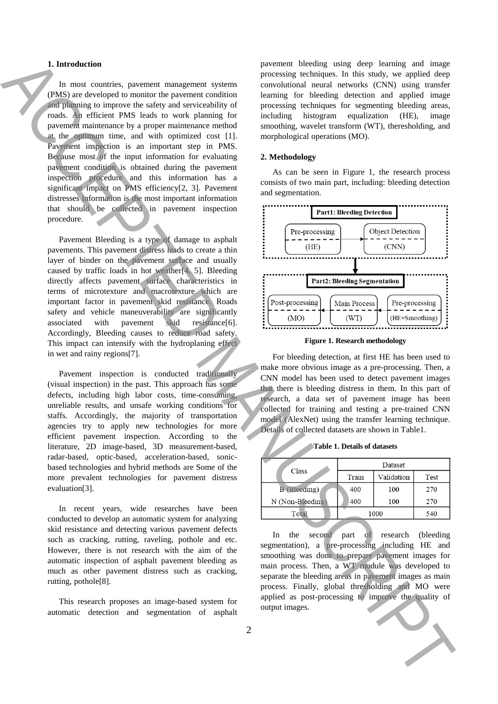#### **1. Introduction**

In most countries, pavement management systems (PMS) are developed to monitor the pavement condition and planning to improve the safety and serviceability of roads. An efficient PMS leads to work planning for pavement maintenance by a proper maintenance method at the optimum time, and with optimized cost [1]. Pavement inspection is an important step in PMS. Because most of the input information for evaluating pavement condition is obtained during the pavement inspection procedure and this information has a significant impact on PMS efficiency[2, 3]. Pavement distresses information is the most important information that should be collected in pavement inspection procedure. **1.** Interaction control interaction interaction interaction is a control interaction interaction in the set of the set of the set of the set of the set of the set of the set of the set of the set of the set of the set of

Pavement Bleeding is a type of damage to asphalt pavements. This pavement distress leads to create a thin layer of binder on the pavement surface and usually caused by traffic loads in hot weather[4, 5]. Bleeding directly affects pavement surface characteristics in terms of microtexture and macrotexture which are important factor in pavement skid resistance. Roads safety and vehicle maneuverability are significantly associated with pavement skid resistance[6]. Accordingly, Bleeding causes to reduce road safety. This impact can intensify with the hydroplaning effect in wet and rainy regions[7].

Pavement inspection is conducted traditionally (visual inspection) in the past. This approach has some defects, including high labor costs, time-consuming, unreliable results, and unsafe working conditions for staffs. Accordingly, the majority of transportation agencies try to apply new technologies for more efficient pavement inspection. According to the literature, 2D image-based, 3D measurement-based, radar-based, optic-based, acceleration-based, sonicbased technologies and hybrid methods are Some of the more prevalent technologies for pavement distress evaluation[3].

In recent years, wide researches have been conducted to develop an automatic system for analyzing skid resistance and detecting various pavement defects such as cracking, rutting, raveling, pothole and etc. However, there is not research with the aim of the automatic inspection of asphalt pavement bleeding as much as other pavement distress such as cracking, rutting, pothole[8].

This research proposes an image-based system for automatic detection and segmentation of asphalt pavement bleeding using deep learning and image processing techniques. In this study, we applied deep convolutional neural networks (CNN) using transfer learning for bleeding detection and applied image processing techniques for segmenting bleeding areas, including histogram equalization (HE), image smoothing, wavelet transform (WT), theresholding, and morphological operations (MO).

#### **2. Methodology**

As can be seen in Figure 1, the research process consists of two main part, including: bleeding detection and segmentation.



**Figure 1. Research methodology**

For bleeding detection, at first HE has been used to make more obvious image as a pre-processing. Then, a CNN model has been used to detect pavement images that there is bleeding distress in them. In this part of research, a data set of pavement image has been collected for training and testing a pre-trained CNN model (AlexNet) using the transfer learning technique. Details of collected datasets are shown in Table1.

**Table 1. Details of datasets**

| Class               | Dataset |            |      |
|---------------------|---------|------------|------|
|                     | Train   | Validation | Test |
| <b>B</b> (Bleeding) | 400     | 100        | 270  |
| $N(Non-Bleeding)$   | 400     | 100        | 270  |
| Total               | 1000    |            | 540  |

In the second part of research (bleeding segmentation), a pre-processing including HE and smoothing was done to prepare pavement images for main process. Then, a WT module was developed to separate the bleeding areas in pavement images as main process. Finally, global thresholding and MO were applied as post-processing to improve the quality of